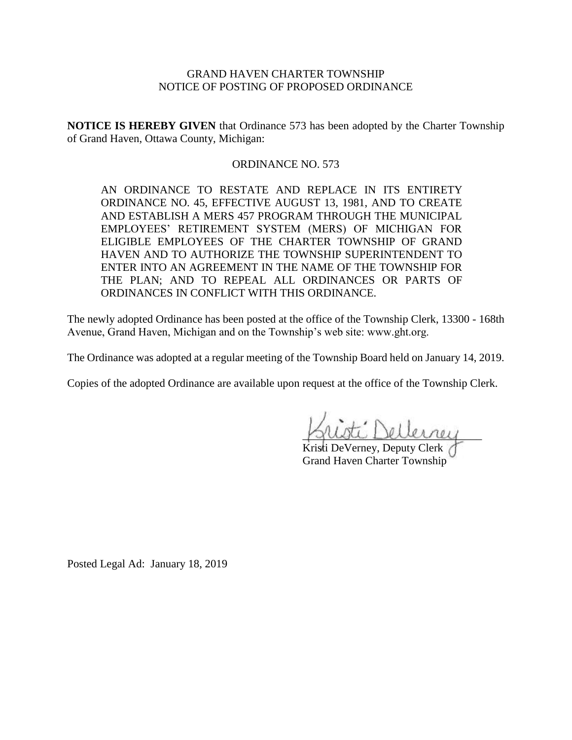# GRAND HAVEN CHARTER TOWNSHIP NOTICE OF POSTING OF PROPOSED ORDINANCE

**NOTICE IS HEREBY GIVEN** that Ordinance 573 has been adopted by the Charter Township of Grand Haven, Ottawa County, Michigan:

# ORDINANCE NO. 573

AN ORDINANCE TO RESTATE AND REPLACE IN ITS ENTIRETY ORDINANCE NO. 45, EFFECTIVE AUGUST 13, 1981, AND TO CREATE AND ESTABLISH A MERS 457 PROGRAM THROUGH THE MUNICIPAL EMPLOYEES' RETIREMENT SYSTEM (MERS) OF MICHIGAN FOR ELIGIBLE EMPLOYEES OF THE CHARTER TOWNSHIP OF GRAND HAVEN AND TO AUTHORIZE THE TOWNSHIP SUPERINTENDENT TO ENTER INTO AN AGREEMENT IN THE NAME OF THE TOWNSHIP FOR THE PLAN; AND TO REPEAL ALL ORDINANCES OR PARTS OF ORDINANCES IN CONFLICT WITH THIS ORDINANCE.

The newly adopted Ordinance has been posted at the office of the Township Clerk, 13300 - 168th Avenue, Grand Haven, Michigan and on the Township's web site: www.ght.org.

The Ordinance was adopted at a regular meeting of the Township Board held on January 14, 2019.

Copies of the adopted Ordinance are available upon request at the office of the Township Clerk.

\_\_\_\_\_\_\_\_\_\_\_\_\_\_\_\_\_\_\_\_\_\_\_\_\_\_\_\_\_\_\_\_

Kristi DeVerney, Deputy Clerk Grand Haven Charter Township

Posted Legal Ad: January 18, 2019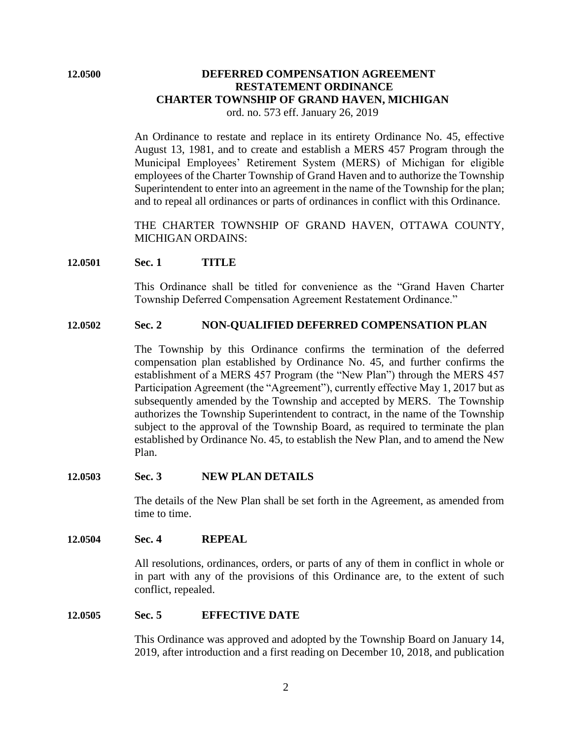# **12.0500 DEFERRED COMPENSATION AGREEMENT RESTATEMENT ORDINANCE CHARTER TOWNSHIP OF GRAND HAVEN, MICHIGAN**

ord. no. 573 eff. January 26, 2019

An Ordinance to restate and replace in its entirety Ordinance No. 45, effective August 13, 1981, and to create and establish a MERS 457 Program through the Municipal Employees' Retirement System (MERS) of Michigan for eligible employees of the Charter Township of Grand Haven and to authorize the Township Superintendent to enter into an agreement in the name of the Township for the plan; and to repeal all ordinances or parts of ordinances in conflict with this Ordinance.

THE CHARTER TOWNSHIP OF GRAND HAVEN, OTTAWA COUNTY, MICHIGAN ORDAINS:

# **12.0501 Sec. 1 TITLE**

This Ordinance shall be titled for convenience as the "Grand Haven Charter Township Deferred Compensation Agreement Restatement Ordinance."

# **12.0502 Sec. 2 NON-QUALIFIED DEFERRED COMPENSATION PLAN**

The Township by this Ordinance confirms the termination of the deferred compensation plan established by Ordinance No. 45, and further confirms the establishment of a MERS 457 Program (the "New Plan") through the MERS 457 Participation Agreement (the "Agreement"), currently effective May 1, 2017 but as subsequently amended by the Township and accepted by MERS. The Township authorizes the Township Superintendent to contract, in the name of the Township subject to the approval of the Township Board, as required to terminate the plan established by Ordinance No. 45, to establish the New Plan, and to amend the New Plan.

# **12.0503 Sec. 3 NEW PLAN DETAILS**

The details of the New Plan shall be set forth in the Agreement, as amended from time to time.

# **12.0504 Sec. 4 REPEAL**

All resolutions, ordinances, orders, or parts of any of them in conflict in whole or in part with any of the provisions of this Ordinance are, to the extent of such conflict, repealed.

# **12.0505 Sec. 5 EFFECTIVE DATE**

This Ordinance was approved and adopted by the Township Board on January 14, 2019, after introduction and a first reading on December 10, 2018, and publication